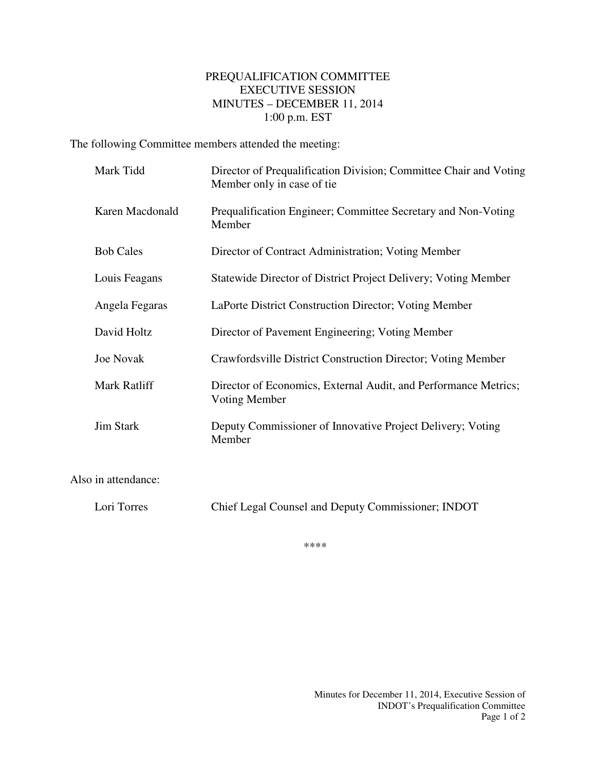## PREQUALIFICATION COMMITTEE EXECUTIVE SESSION MINUTES – DECEMBER 11, 2014 1:00 p.m. EST

The following Committee members attended the meeting:

| Mark Tidd           | Director of Prequalification Division; Committee Chair and Voting<br>Member only in case of tie |
|---------------------|-------------------------------------------------------------------------------------------------|
| Karen Macdonald     | Prequalification Engineer; Committee Secretary and Non-Voting<br>Member                         |
| <b>Bob Cales</b>    | Director of Contract Administration; Voting Member                                              |
| Louis Feagans       | Statewide Director of District Project Delivery; Voting Member                                  |
| Angela Fegaras      | LaPorte District Construction Director; Voting Member                                           |
| David Holtz         | Director of Pavement Engineering; Voting Member                                                 |
| <b>Joe Novak</b>    | Crawfordsville District Construction Director; Voting Member                                    |
| Mark Ratliff        | Director of Economics, External Audit, and Performance Metrics;<br>Voting Member                |
| <b>Jim Stark</b>    | Deputy Commissioner of Innovative Project Delivery; Voting<br>Member                            |
| Also in attendance: |                                                                                                 |
| Lori Torres         | Chief Legal Counsel and Deputy Commissioner; INDOT                                              |

\*\*\*\*